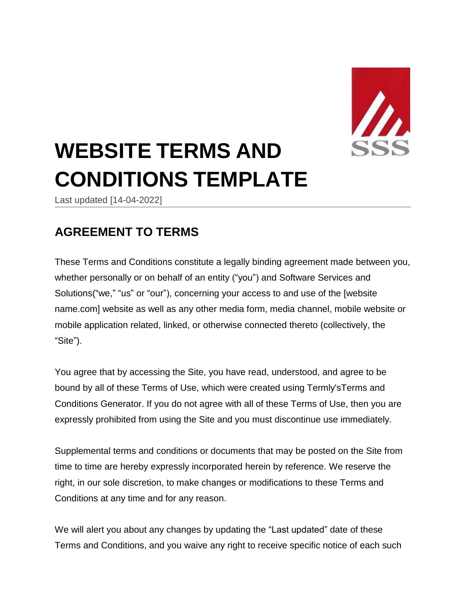

# **WEBSITE TERMS AND CONDITIONS TEMPLATE**

Last updated [14-04-2022]

# **AGREEMENT TO TERMS**

These Terms and Conditions constitute a legally binding agreement made between you, whether personally or on behalf of an entity ("you") and Software Services and Solutions("we," "us" or "our"), concerning your access to and use of the [website name.com] website as well as any other media form, media channel, mobile website or mobile application related, linked, or otherwise connected thereto (collectively, the "Site").

You agree that by accessing the Site, you have read, understood, and agree to be bound by all of these Terms of Use, which were created using Termly'[sTerms](https://termly.io/products/terms-and-conditions-generator/) and [Conditions](https://termly.io/products/terms-and-conditions-generator/) Generator. If you do not agree with all of these Terms of Use, then you are expressly prohibited from using the Site and you must discontinue use immediately.

Supplemental terms and conditions or documents that may be posted on the Site from time to time are hereby expressly incorporated herein by reference. We reserve the right, in our sole discretion, to make changes or modifications to these Terms and Conditions at any time and for any reason.

We will alert you about any changes by updating the "Last updated" date of these Terms and Conditions, and you waive any right to receive specific notice of each such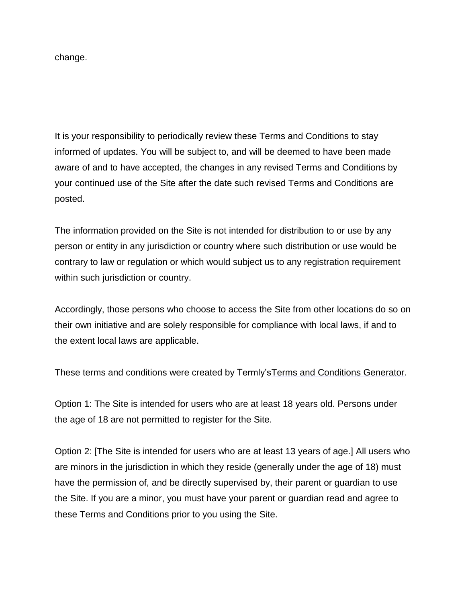change.

It is your responsibility to periodically review these Terms and Conditions to stay informed of updates. You will be subject to, and will be deemed to have been made aware of and to have accepted, the changes in any revised Terms and Conditions by your continued use of the Site after the date such revised Terms and Conditions are posted.

The information provided on the Site is not intended for distribution to or use by any person or entity in any jurisdiction or country where such distribution or use would be contrary to law or regulation or which would subject us to any registration requirement within such jurisdiction or country.

Accordingly, those persons who choose to access the Site from other locations do so on their own initiative and are solely responsible for compliance with local laws, if and to the extent local laws are applicable.

These terms and conditions were created by Termly'sTerms and [Conditions](https://termly.io/products/terms-and-conditions-generator/) Generator.

Option 1: The Site is intended for users who are at least 18 years old. Persons under the age of 18 are not permitted to register for the Site.

Option 2: [The Site is intended for users who are at least 13 years of age.] All users who are minors in the jurisdiction in which they reside (generally under the age of 18) must have the permission of, and be directly supervised by, their parent or guardian to use the Site. If you are a minor, you must have your parent or guardian read and agree to these Terms and Conditions prior to you using the Site.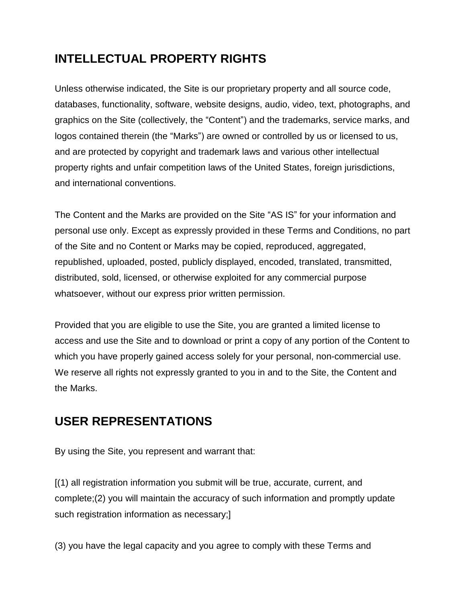# **INTELLECTUAL PROPERTY RIGHTS**

Unless otherwise indicated, the Site is our proprietary property and all source code, databases, functionality, software, website designs, audio, video, text, photographs, and graphics on the Site (collectively, the "Content") and the trademarks, service marks, and logos contained therein (the "Marks") are owned or controlled by us or licensed to us, and are protected by copyright and trademark laws and various other intellectual property rights and unfair competition laws of the United States, foreign jurisdictions, and international conventions.

The Content and the Marks are provided on the Site "AS IS" for your information and personal use only. Except as expressly provided in these Terms and Conditions, no part of the Site and no Content or Marks may be copied, reproduced, aggregated, republished, uploaded, posted, publicly displayed, encoded, translated, transmitted, distributed, sold, licensed, or otherwise exploited for any commercial purpose whatsoever, without our express prior written permission.

Provided that you are eligible to use the Site, you are granted a limited license to access and use the Site and to download or print a copy of any portion of the Content to which you have properly gained access solely for your personal, non-commercial use. We reserve all rights not expressly granted to you in and to the Site, the Content and the Marks.

# **USER REPRESENTATIONS**

By using the Site, you represent and warrant that:

[(1) all registration information you submit will be true, accurate, current, and complete;(2) you will maintain the accuracy of such information and promptly update such registration information as necessary;]

(3) you have the legal capacity and you agree to comply with these Terms and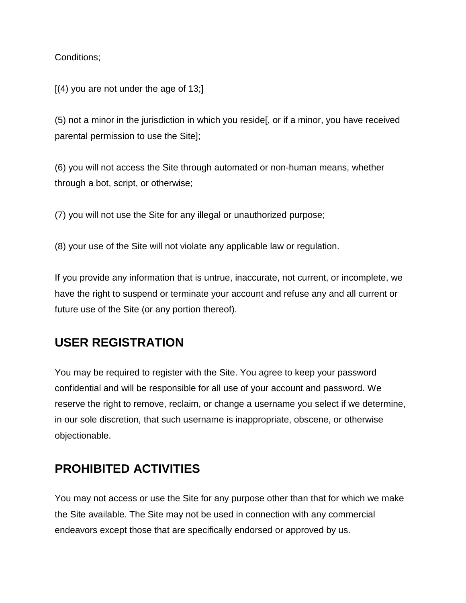Conditions;

 $[(4)$  you are not under the age of 13;

(5) not a minor in the jurisdiction in which you reside[, or if a minor, you have received parental permission to use the Site];

(6) you will not access the Site through automated or non-human means, whether through a bot, script, or otherwise;

(7) you will not use the Site for any illegal or unauthorized purpose;

(8) your use of the Site will not violate any applicable law or regulation.

If you provide any information that is untrue, inaccurate, not current, or incomplete, we have the right to suspend or terminate your account and refuse any and all current or future use of the Site (or any portion thereof).

# **USER REGISTRATION**

You may be required to register with the Site. You agree to keep your password confidential and will be responsible for all use of your account and password. We reserve the right to remove, reclaim, or change a username you select if we determine, in our sole discretion, that such username is inappropriate, obscene, or otherwise objectionable.

# **PROHIBITED ACTIVITIES**

You may not access or use the Site for any purpose other than that for which we make the Site available. The Site may not be used in connection with any commercial endeavors except those that are specifically endorsed or approved by us.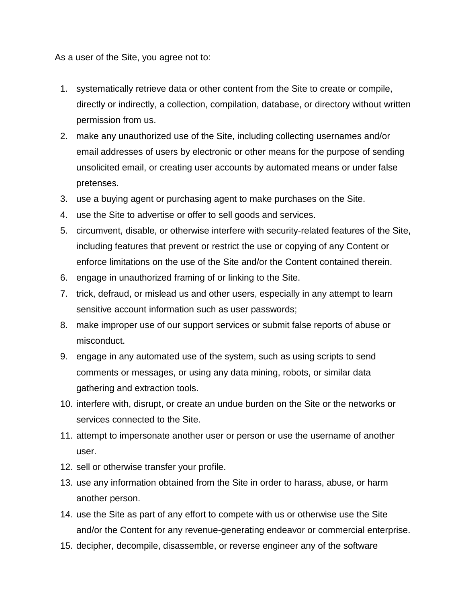As a user of the Site, you agree not to:

- 1. systematically retrieve data or other content from the Site to create or compile, directly or indirectly, a collection, compilation, database, or directory without written permission from us.
- 2. make any unauthorized use of the Site, including collecting usernames and/or email addresses of users by electronic or other means for the purpose of sending unsolicited email, or creating user accounts by automated means or under false pretenses.
- 3. use a buying agent or purchasing agent to make purchases on the Site.
- 4. use the Site to advertise or offer to sell goods and services.
- 5. circumvent, disable, or otherwise interfere with security-related features of the Site, including features that prevent or restrict the use or copying of any Content or enforce limitations on the use of the Site and/or the Content contained therein.
- 6. engage in unauthorized framing of or linking to the Site.
- 7. trick, defraud, or mislead us and other users, especially in any attempt to learn sensitive account information such as user passwords;
- 8. make improper use of our support services or submit false reports of abuse or misconduct.
- 9. engage in any automated use of the system, such as using scripts to send comments or messages, or using any data mining, robots, or similar data gathering and extraction tools.
- 10. interfere with, disrupt, or create an undue burden on the Site or the networks or services connected to the Site.
- 11. attempt to impersonate another user or person or use the username of another user.
- 12. sell or otherwise transfer your profile.
- 13. use any information obtained from the Site in order to harass, abuse, or harm another person.
- 14. use the Site as part of any effort to compete with us or otherwise use the Site and/or the Content for any revenue-generating endeavor or commercial enterprise.
- 15. decipher, decompile, disassemble, or reverse engineer any of the software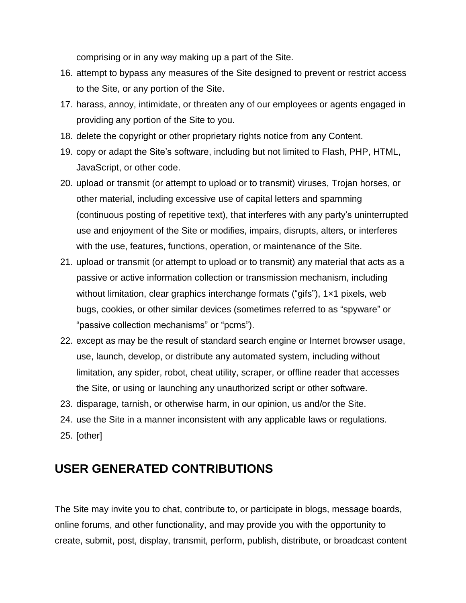comprising or in any way making up a part of the Site.

- 16. attempt to bypass any measures of the Site designed to prevent or restrict access to the Site, or any portion of the Site.
- 17. harass, annoy, intimidate, or threaten any of our employees or agents engaged in providing any portion of the Site to you.
- 18. delete the copyright or other proprietary rights notice from any Content.
- 19. copy or adapt the Site's software, including but not limited to Flash, PHP, HTML, JavaScript, or other code.
- 20. upload or transmit (or attempt to upload or to transmit) viruses, Trojan horses, or other material, including excessive use of capital letters and spamming (continuous posting of repetitive text), that interferes with any party's uninterrupted use and enjoyment of the Site or modifies, impairs, disrupts, alters, or interferes with the use, features, functions, operation, or maintenance of the Site.
- 21. upload or transmit (or attempt to upload or to transmit) any material that acts as a passive or active information collection or transmission mechanism, including without limitation, clear graphics interchange formats ("gifs"), 1×1 pixels, web bugs, cookies, or other similar devices (sometimes referred to as "spyware" or "passive collection mechanisms" or "pcms").
- 22. except as may be the result of standard search engine or Internet browser usage, use, launch, develop, or distribute any automated system, including without limitation, any spider, robot, cheat utility, scraper, or offline reader that accesses the Site, or using or launching any unauthorized script or other software.
- 23. disparage, tarnish, or otherwise harm, in our opinion, us and/or the Site.
- 24. use the Site in a manner inconsistent with any applicable laws or regulations.
- 25. [other]

# **USER GENERATED CONTRIBUTIONS**

The Site may invite you to chat, contribute to, or participate in blogs, message boards, online forums, and other functionality, and may provide you with the opportunity to create, submit, post, display, transmit, perform, publish, distribute, or broadcast content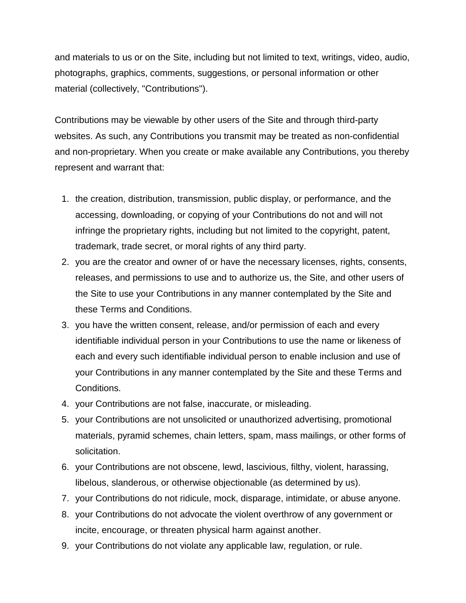and materials to us or on the Site, including but not limited to text, writings, video, audio, photographs, graphics, comments, suggestions, or personal information or other material (collectively, "Contributions").

Contributions may be viewable by other users of the Site and through third-party websites. As such, any Contributions you transmit may be treated as non-confidential and non-proprietary. When you create or make available any Contributions, you thereby represent and warrant that:

- 1. the creation, distribution, transmission, public display, or performance, and the accessing, downloading, or copying of your Contributions do not and will not infringe the proprietary rights, including but not limited to the copyright, patent, trademark, trade secret, or moral rights of any third party.
- 2. you are the creator and owner of or have the necessary licenses, rights, consents, releases, and permissions to use and to authorize us, the Site, and other users of the Site to use your Contributions in any manner contemplated by the Site and these Terms and Conditions.
- 3. you have the written consent, release, and/or permission of each and every identifiable individual person in your Contributions to use the name or likeness of each and every such identifiable individual person to enable inclusion and use of your Contributions in any manner contemplated by the Site and these Terms and Conditions.
- 4. your Contributions are not false, inaccurate, or misleading.
- 5. your Contributions are not unsolicited or unauthorized advertising, promotional materials, pyramid schemes, chain letters, spam, mass mailings, or other forms of solicitation.
- 6. your Contributions are not obscene, lewd, lascivious, filthy, violent, harassing, libelous, slanderous, or otherwise objectionable (as determined by us).
- 7. your Contributions do not ridicule, mock, disparage, intimidate, or abuse anyone.
- 8. your Contributions do not advocate the violent overthrow of any government or incite, encourage, or threaten physical harm against another.
- 9. your Contributions do not violate any applicable law, regulation, or rule.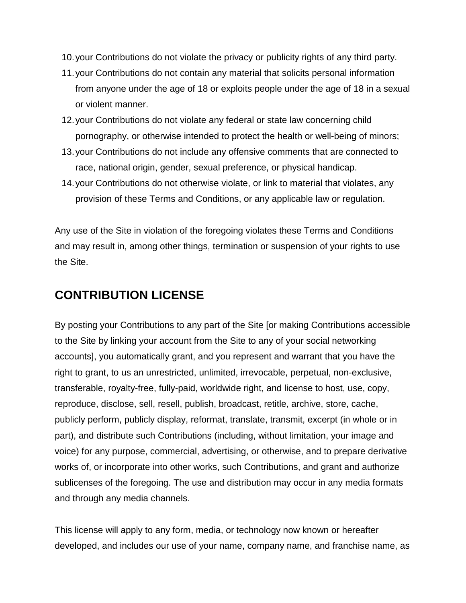- 10.your Contributions do not violate the privacy or publicity rights of any third party.
- 11.your Contributions do not contain any material that solicits personal information from anyone under the age of 18 or exploits people under the age of 18 in a sexual or violent manner.
- 12.your Contributions do not violate any federal or state law concerning child pornography, or otherwise intended to protect the health or well-being of minors;
- 13.your Contributions do not include any offensive comments that are connected to race, national origin, gender, sexual preference, or physical handicap.
- 14.your Contributions do not otherwise violate, or link to material that violates, any provision of these Terms and Conditions, or any applicable law or regulation.

Any use of the Site in violation of the foregoing violates these Terms and Conditions and may result in, among other things, termination or suspension of your rights to use the Site.

### **CONTRIBUTION LICENSE**

By posting your Contributions to any part of the Site [or making Contributions accessible to the Site by linking your account from the Site to any of your social networking accounts], you automatically grant, and you represent and warrant that you have the right to grant, to us an unrestricted, unlimited, irrevocable, perpetual, non-exclusive, transferable, royalty-free, fully-paid, worldwide right, and license to host, use, copy, reproduce, disclose, sell, resell, publish, broadcast, retitle, archive, store, cache, publicly perform, publicly display, reformat, translate, transmit, excerpt (in whole or in part), and distribute such Contributions (including, without limitation, your image and voice) for any purpose, commercial, advertising, or otherwise, and to prepare derivative works of, or incorporate into other works, such Contributions, and grant and authorize sublicenses of the foregoing. The use and distribution may occur in any media formats and through any media channels.

This license will apply to any form, media, or technology now known or hereafter developed, and includes our use of your name, company name, and franchise name, as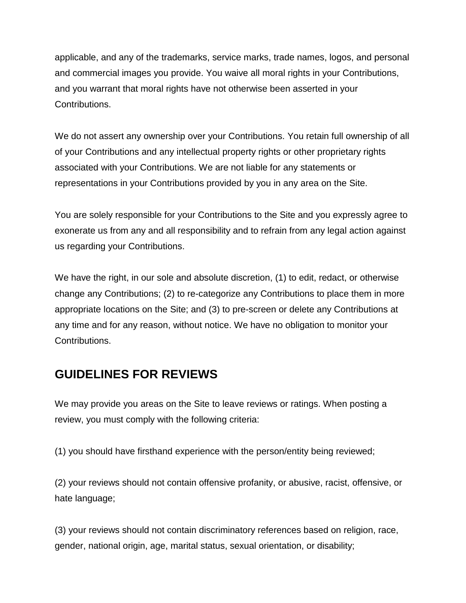applicable, and any of the trademarks, service marks, trade names, logos, and personal and commercial images you provide. You waive all moral rights in your Contributions, and you warrant that moral rights have not otherwise been asserted in your Contributions.

We do not assert any ownership over your Contributions. You retain full ownership of all of your Contributions and any intellectual property rights or other proprietary rights associated with your Contributions. We are not liable for any statements or representations in your Contributions provided by you in any area on the Site.

You are solely responsible for your Contributions to the Site and you expressly agree to exonerate us from any and all responsibility and to refrain from any legal action against us regarding your Contributions.

We have the right, in our sole and absolute discretion, (1) to edit, redact, or otherwise change any Contributions; (2) to re-categorize any Contributions to place them in more appropriate locations on the Site; and (3) to pre-screen or delete any Contributions at any time and for any reason, without notice. We have no obligation to monitor your Contributions.

# **GUIDELINES FOR REVIEWS**

We may provide you areas on the Site to leave reviews or ratings. When posting a review, you must comply with the following criteria:

(1) you should have firsthand experience with the person/entity being reviewed;

(2) your reviews should not contain offensive profanity, or abusive, racist, offensive, or hate language;

(3) your reviews should not contain discriminatory references based on religion, race, gender, national origin, age, marital status, sexual orientation, or disability;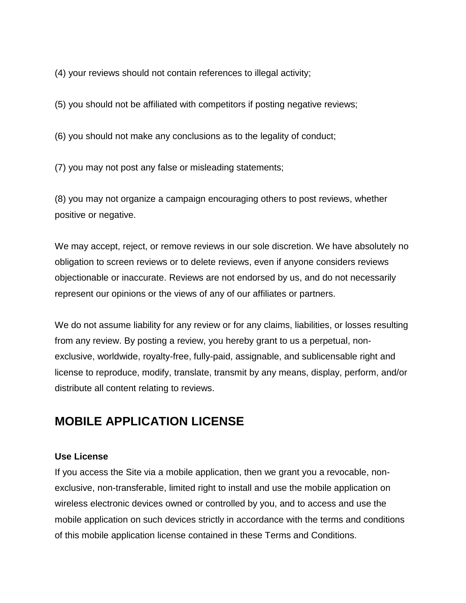(4) your reviews should not contain references to illegal activity;

(5) you should not be affiliated with competitors if posting negative reviews;

(6) you should not make any conclusions as to the legality of conduct;

(7) you may not post any false or misleading statements;

(8) you may not organize a campaign encouraging others to post reviews, whether positive or negative.

We may accept, reject, or remove reviews in our sole discretion. We have absolutely no obligation to screen reviews or to delete reviews, even if anyone considers reviews objectionable or inaccurate. Reviews are not endorsed by us, and do not necessarily represent our opinions or the views of any of our affiliates or partners.

We do not assume liability for any review or for any claims, liabilities, or losses resulting from any review. By posting a review, you hereby grant to us a perpetual, nonexclusive, worldwide, royalty-free, fully-paid, assignable, and sublicensable right and license to reproduce, modify, translate, transmit by any means, display, perform, and/or distribute all content relating to reviews.

# **MOBILE APPLICATION LICENSE**

#### **Use License**

If you access the Site via a mobile application, then we grant you a revocable, nonexclusive, non-transferable, limited right to install and use the mobile application on wireless electronic devices owned or controlled by you, and to access and use the mobile application on such devices strictly in accordance with the terms and conditions of this mobile application license contained in these Terms and Conditions.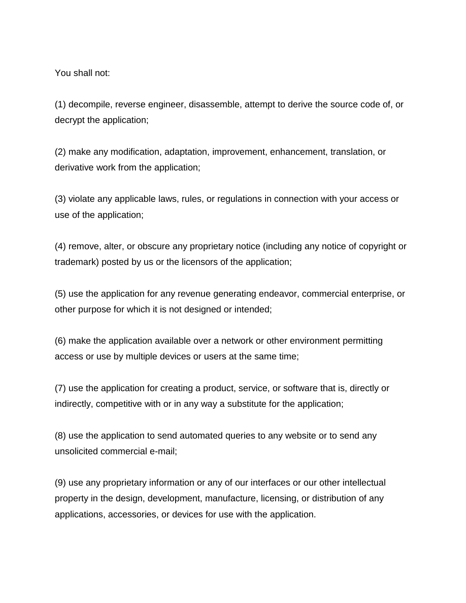You shall not:

(1) decompile, reverse engineer, disassemble, attempt to derive the source code of, or decrypt the application;

(2) make any modification, adaptation, improvement, enhancement, translation, or derivative work from the application;

(3) violate any applicable laws, rules, or regulations in connection with your access or use of the application;

(4) remove, alter, or obscure any proprietary notice (including any notice of copyright or trademark) posted by us or the licensors of the application;

(5) use the application for any revenue generating endeavor, commercial enterprise, or other purpose for which it is not designed or intended;

(6) make the application available over a network or other environment permitting access or use by multiple devices or users at the same time;

(7) use the application for creating a product, service, or software that is, directly or indirectly, competitive with or in any way a substitute for the application;

(8) use the application to send automated queries to any website or to send any unsolicited commercial e-mail;

(9) use any proprietary information or any of our interfaces or our other intellectual property in the design, development, manufacture, licensing, or distribution of any applications, accessories, or devices for use with the application.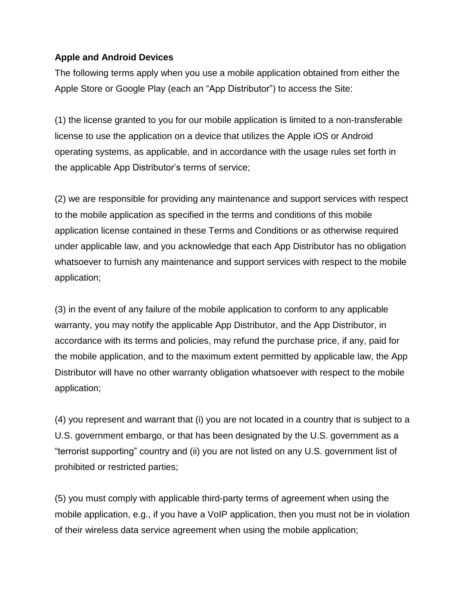### **Apple and Android Devices**

The following terms apply when you use a mobile application obtained from either the Apple Store or Google Play (each an "App Distributor") to access the Site:

(1) the license granted to you for our mobile application is limited to a non-transferable license to use the application on a device that utilizes the Apple iOS or Android operating systems, as applicable, and in accordance with the usage rules set forth in the applicable App Distributor's terms of service;

(2) we are responsible for providing any maintenance and support services with respect to the mobile application as specified in the terms and conditions of this mobile application license contained in these Terms and Conditions or as otherwise required under applicable law, and you acknowledge that each App Distributor has no obligation whatsoever to furnish any maintenance and support services with respect to the mobile application;

(3) in the event of any failure of the mobile application to conform to any applicable warranty, you may notify the applicable App Distributor, and the App Distributor, in accordance with its terms and policies, may refund the purchase price, if any, paid for the mobile application, and to the maximum extent permitted by applicable law, the App Distributor will have no other warranty obligation whatsoever with respect to the mobile application;

(4) you represent and warrant that (i) you are not located in a country that is subject to a U.S. government embargo, or that has been designated by the U.S. government as a "terrorist supporting" country and (ii) you are not listed on any U.S. government list of prohibited or restricted parties;

(5) you must comply with applicable third-party terms of agreement when using the mobile application, e.g., if you have a VoIP application, then you must not be in violation of their wireless data service agreement when using the mobile application;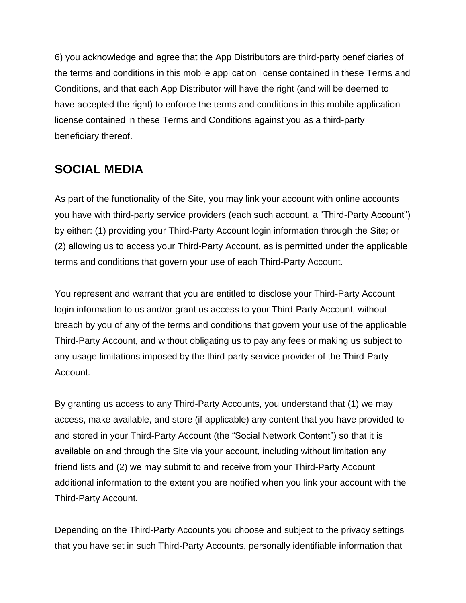6) you acknowledge and agree that the App Distributors are third-party beneficiaries of the terms and conditions in this mobile application license contained in these Terms and Conditions, and that each App Distributor will have the right (and will be deemed to have accepted the right) to enforce the terms and conditions in this mobile application license contained in these Terms and Conditions against you as a third-party beneficiary thereof.

# **SOCIAL MEDIA**

As part of the functionality of the Site, you may link your account with online accounts you have with third-party service providers (each such account, a "Third-Party Account") by either: (1) providing your Third-Party Account login information through the Site; or (2) allowing us to access your Third-Party Account, as is permitted under the applicable terms and conditions that govern your use of each Third-Party Account.

You represent and warrant that you are entitled to disclose your Third-Party Account login information to us and/or grant us access to your Third-Party Account, without breach by you of any of the terms and conditions that govern your use of the applicable Third-Party Account, and without obligating us to pay any fees or making us subject to any usage limitations imposed by the third-party service provider of the Third-Party Account.

By granting us access to any Third-Party Accounts, you understand that (1) we may access, make available, and store (if applicable) any content that you have provided to and stored in your Third-Party Account (the "Social Network Content") so that it is available on and through the Site via your account, including without limitation any friend lists and (2) we may submit to and receive from your Third-Party Account additional information to the extent you are notified when you link your account with the Third-Party Account.

Depending on the Third-Party Accounts you choose and subject to the privacy settings that you have set in such Third-Party Accounts, personally identifiable information that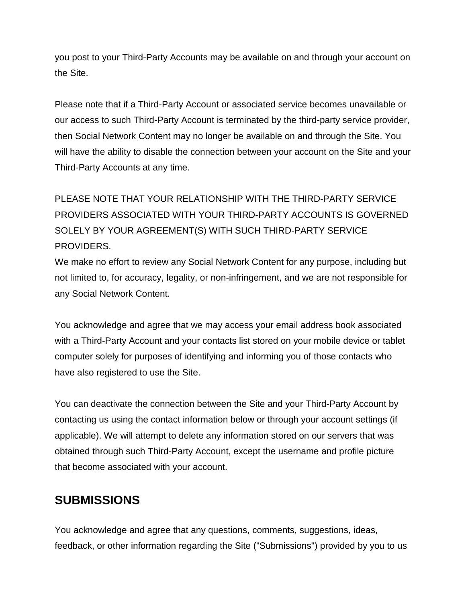you post to your Third-Party Accounts may be available on and through your account on the Site.

Please note that if a Third-Party Account or associated service becomes unavailable or our access to such Third-Party Account is terminated by the third-party service provider, then Social Network Content may no longer be available on and through the Site. You will have the ability to disable the connection between your account on the Site and your Third-Party Accounts at any time.

# PLEASE NOTE THAT YOUR RELATIONSHIP WITH THE THIRD-PARTY SERVICE PROVIDERS ASSOCIATED WITH YOUR THIRD-PARTY ACCOUNTS IS GOVERNED SOLELY BY YOUR AGREEMENT(S) WITH SUCH THIRD-PARTY SERVICE PROVIDERS.

We make no effort to review any Social Network Content for any purpose, including but not limited to, for accuracy, legality, or non-infringement, and we are not responsible for any Social Network Content.

You acknowledge and agree that we may access your email address book associated with a Third-Party Account and your contacts list stored on your mobile device or tablet computer solely for purposes of identifying and informing you of those contacts who have also registered to use the Site.

You can deactivate the connection between the Site and your Third-Party Account by contacting us using the contact information below or through your account settings (if applicable). We will attempt to delete any information stored on our servers that was obtained through such Third-Party Account, except the username and profile picture that become associated with your account.

# **SUBMISSIONS**

You acknowledge and agree that any questions, comments, suggestions, ideas, feedback, or other information regarding the Site ("Submissions") provided by you to us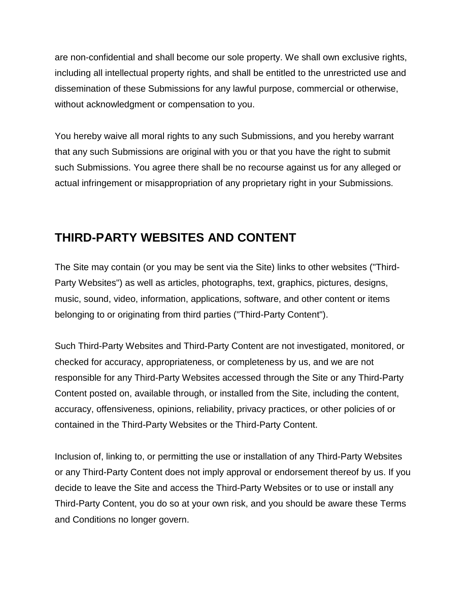are non-confidential and shall become our sole property. We shall own exclusive rights, including all intellectual property rights, and shall be entitled to the unrestricted use and dissemination of these Submissions for any lawful purpose, commercial or otherwise, without acknowledgment or compensation to you.

You hereby waive all moral rights to any such Submissions, and you hereby warrant that any such Submissions are original with you or that you have the right to submit such Submissions. You agree there shall be no recourse against us for any alleged or actual infringement or misappropriation of any proprietary right in your Submissions.

# **THIRD-PARTY WEBSITES AND CONTENT**

The Site may contain (or you may be sent via the Site) links to other websites ("Third-Party Websites") as well as articles, photographs, text, graphics, pictures, designs, music, sound, video, information, applications, software, and other content or items belonging to or originating from third parties ("Third-Party Content").

Such Third-Party Websites and Third-Party Content are not investigated, monitored, or checked for accuracy, appropriateness, or completeness by us, and we are not responsible for any Third-Party Websites accessed through the Site or any Third-Party Content posted on, available through, or installed from the Site, including the content, accuracy, offensiveness, opinions, reliability, privacy practices, or other policies of or contained in the Third-Party Websites or the Third-Party Content.

Inclusion of, linking to, or permitting the use or installation of any Third-Party Websites or any Third-Party Content does not imply approval or endorsement thereof by us. If you decide to leave the Site and access the Third-Party Websites or to use or install any Third-Party Content, you do so at your own risk, and you should be aware these Terms and Conditions no longer govern.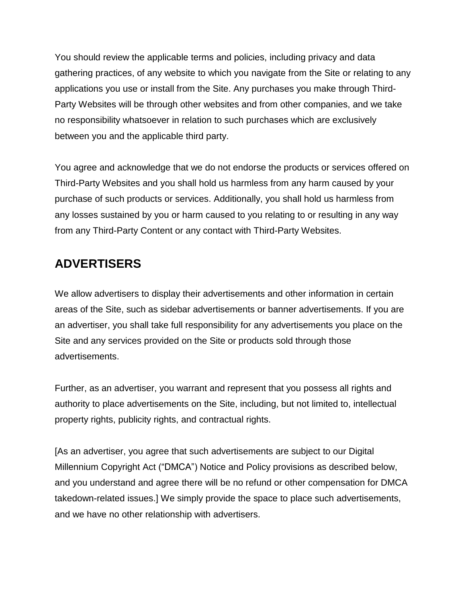You should review the applicable terms and policies, including privacy and data gathering practices, of any website to which you navigate from the Site or relating to any applications you use or install from the Site. Any purchases you make through Third-Party Websites will be through other websites and from other companies, and we take no responsibility whatsoever in relation to such purchases which are exclusively between you and the applicable third party.

You agree and acknowledge that we do not endorse the products or services offered on Third-Party Websites and you shall hold us harmless from any harm caused by your purchase of such products or services. Additionally, you shall hold us harmless from any losses sustained by you or harm caused to you relating to or resulting in any way from any Third-Party Content or any contact with Third-Party Websites.

# **ADVERTISERS**

We allow advertisers to display their advertisements and other information in certain areas of the Site, such as sidebar advertisements or banner advertisements. If you are an advertiser, you shall take full responsibility for any advertisements you place on the Site and any services provided on the Site or products sold through those advertisements.

Further, as an advertiser, you warrant and represent that you possess all rights and authority to place advertisements on the Site, including, but not limited to, intellectual property rights, publicity rights, and contractual rights.

[As an advertiser, you agree that such advertisements are subject to our Digital Millennium Copyright Act ("DMCA") Notice and Policy provisions as described below, and you understand and agree there will be no refund or other compensation for DMCA takedown-related issues.] We simply provide the space to place such advertisements, and we have no other relationship with advertisers.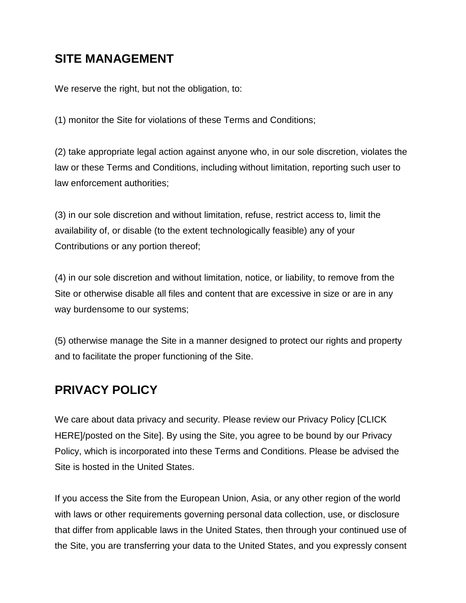# **SITE MANAGEMENT**

We reserve the right, but not the obligation, to:

(1) monitor the Site for violations of these Terms and Conditions;

(2) take appropriate legal action against anyone who, in our sole discretion, violates the law or these Terms and Conditions, including without limitation, reporting such user to law enforcement authorities;

(3) in our sole discretion and without limitation, refuse, restrict access to, limit the availability of, or disable (to the extent technologically feasible) any of your Contributions or any portion thereof;

(4) in our sole discretion and without limitation, notice, or liability, to remove from the Site or otherwise disable all files and content that are excessive in size or are in any way burdensome to our systems;

(5) otherwise manage the Site in a manner designed to protect our rights and property and to facilitate the proper functioning of the Site.

# **PRIVACY POLICY**

We care about data privacy and security. Please review our Privacy Policy [CLICK HERE]/posted on the Site]. By using the Site, you agree to be bound by our Privacy Policy, which is incorporated into these Terms and Conditions. Please be advised the Site is hosted in the United States.

If you access the Site from the European Union, Asia, or any other region of the world with laws or other requirements governing personal data collection, use, or disclosure that differ from applicable laws in the United States, then through your continued use of the Site, you are transferring your data to the United States, and you expressly consent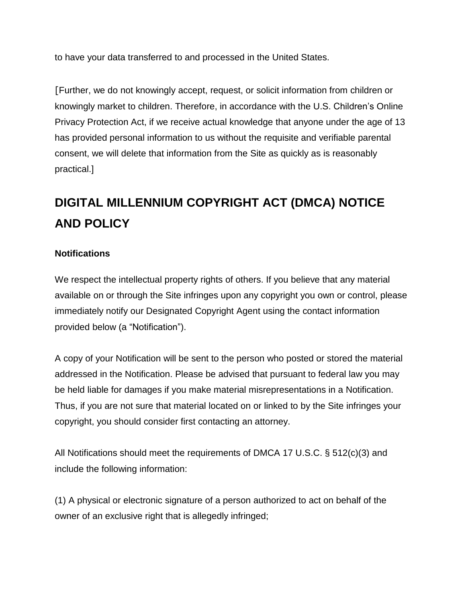to have your data transferred to and processed in the United States.

[Further, we do not knowingly accept, request, or solicit information from children or knowingly market to children. Therefore, in accordance with the U.S. Children's Online Privacy Protection Act, if we receive actual knowledge that anyone under the age of 13 has provided personal information to us without the requisite and verifiable parental consent, we will delete that information from the Site as quickly as is reasonably practical.]

# **DIGITAL MILLENNIUM COPYRIGHT ACT (DMCA) NOTICE AND POLICY**

### **Notifications**

We respect the intellectual property rights of others. If you believe that any material available on or through the Site infringes upon any copyright you own or control, please immediately notify our Designated Copyright Agent using the contact information provided below (a "Notification").

A copy of your Notification will be sent to the person who posted or stored the material addressed in the Notification. Please be advised that pursuant to federal law you may be held liable for damages if you make material misrepresentations in a Notification. Thus, if you are not sure that material located on or linked to by the Site infringes your copyright, you should consider first contacting an attorney.

All Notifications should meet the requirements of DMCA 17 U.S.C. § 512(c)(3) and include the following information:

(1) A physical or electronic signature of a person authorized to act on behalf of the owner of an exclusive right that is allegedly infringed;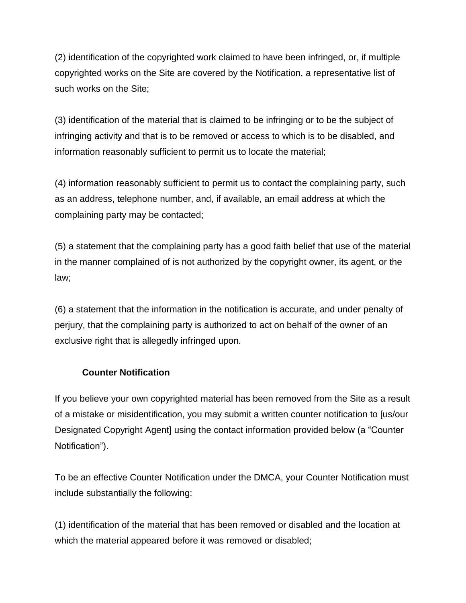(2) identification of the copyrighted work claimed to have been infringed, or, if multiple copyrighted works on the Site are covered by the Notification, a representative list of such works on the Site;

(3) identification of the material that is claimed to be infringing or to be the subject of infringing activity and that is to be removed or access to which is to be disabled, and information reasonably sufficient to permit us to locate the material;

(4) information reasonably sufficient to permit us to contact the complaining party, such as an address, telephone number, and, if available, an email address at which the complaining party may be contacted;

(5) a statement that the complaining party has a good faith belief that use of the material in the manner complained of is not authorized by the copyright owner, its agent, or the law;

(6) a statement that the information in the notification is accurate, and under penalty of perjury, that the complaining party is authorized to act on behalf of the owner of an exclusive right that is allegedly infringed upon.

### **Counter Notification**

If you believe your own copyrighted material has been removed from the Site as a result of a mistake or misidentification, you may submit a written counter notification to [us/our Designated Copyright Agent] using the contact information provided below (a "Counter Notification").

To be an effective Counter Notification under the DMCA, your Counter Notification must include substantially the following:

(1) identification of the material that has been removed or disabled and the location at which the material appeared before it was removed or disabled;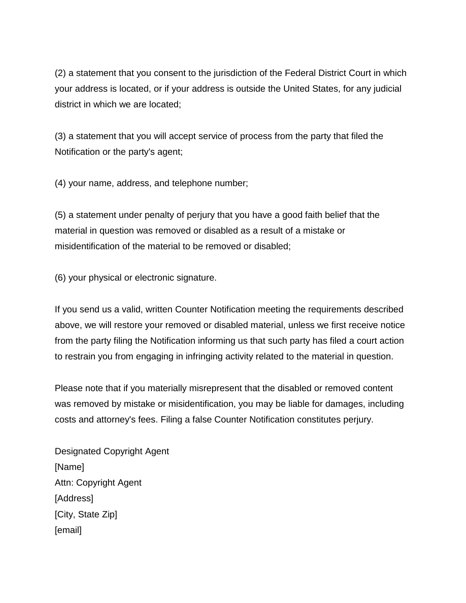(2) a statement that you consent to the jurisdiction of the Federal District Court in which your address is located, or if your address is outside the United States, for any judicial district in which we are located;

(3) a statement that you will accept service of process from the party that filed the Notification or the party's agent;

(4) your name, address, and telephone number;

(5) a statement under penalty of perjury that you have a good faith belief that the material in question was removed or disabled as a result of a mistake or misidentification of the material to be removed or disabled;

(6) your physical or electronic signature.

If you send us a valid, written Counter Notification meeting the requirements described above, we will restore your removed or disabled material, unless we first receive notice from the party filing the Notification informing us that such party has filed a court action to restrain you from engaging in infringing activity related to the material in question.

Please note that if you materially misrepresent that the disabled or removed content was removed by mistake or misidentification, you may be liable for damages, including costs and attorney's fees. Filing a false Counter Notification constitutes perjury.

Designated Copyright Agent [Name] Attn: Copyright Agent [Address] [City, State Zip] [email]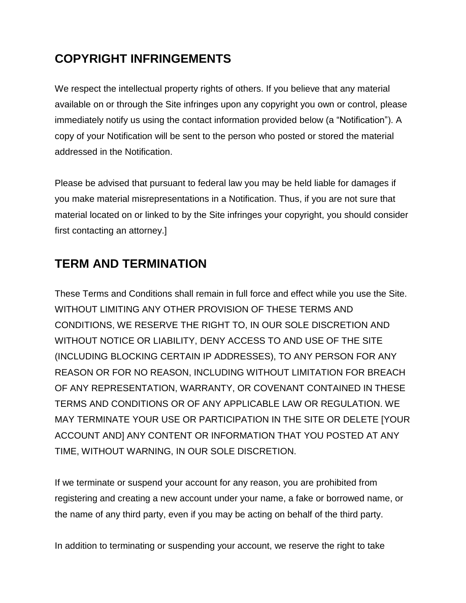# **COPYRIGHT INFRINGEMENTS**

We respect the intellectual property rights of others. If you believe that any material available on or through the Site infringes upon any copyright you own or control, please immediately notify us using the contact information provided below (a "Notification"). A copy of your Notification will be sent to the person who posted or stored the material addressed in the Notification.

Please be advised that pursuant to federal law you may be held liable for damages if you make material misrepresentations in a Notification. Thus, if you are not sure that material located on or linked to by the Site infringes your copyright, you should consider first contacting an attorney.]

# **TERM AND TERMINATION**

These Terms and Conditions shall remain in full force and effect while you use the Site. WITHOUT LIMITING ANY OTHER PROVISION OF THESE TERMS AND CONDITIONS, WE RESERVE THE RIGHT TO, IN OUR SOLE DISCRETION AND WITHOUT NOTICE OR LIABILITY, DENY ACCESS TO AND USE OF THE SITE (INCLUDING BLOCKING CERTAIN IP ADDRESSES), TO ANY PERSON FOR ANY REASON OR FOR NO REASON, INCLUDING WITHOUT LIMITATION FOR BREACH OF ANY REPRESENTATION, WARRANTY, OR COVENANT CONTAINED IN THESE TERMS AND CONDITIONS OR OF ANY APPLICABLE LAW OR REGULATION. WE MAY TERMINATE YOUR USE OR PARTICIPATION IN THE SITE OR DELETE [YOUR ACCOUNT AND] ANY CONTENT OR INFORMATION THAT YOU POSTED AT ANY TIME, WITHOUT WARNING, IN OUR SOLE DISCRETION.

If we terminate or suspend your account for any reason, you are prohibited from registering and creating a new account under your name, a fake or borrowed name, or the name of any third party, even if you may be acting on behalf of the third party.

In addition to terminating or suspending your account, we reserve the right to take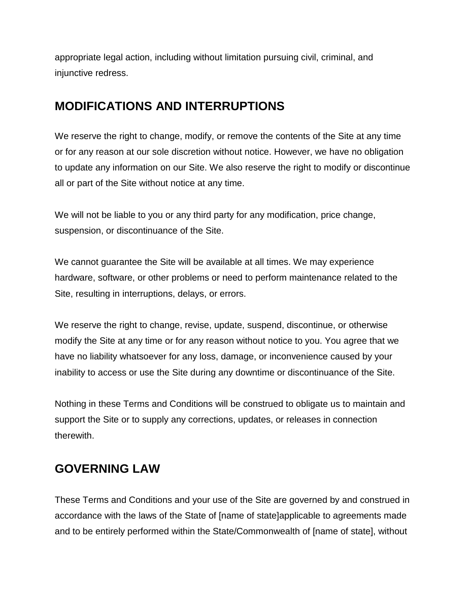appropriate legal action, including without limitation pursuing civil, criminal, and injunctive redress.

# **MODIFICATIONS AND INTERRUPTIONS**

We reserve the right to change, modify, or remove the contents of the Site at any time or for any reason at our sole discretion without notice. However, we have no obligation to update any information on our Site. We also reserve the right to modify or discontinue all or part of the Site without notice at any time.

We will not be liable to you or any third party for any modification, price change, suspension, or discontinuance of the Site.

We cannot guarantee the Site will be available at all times. We may experience hardware, software, or other problems or need to perform maintenance related to the Site, resulting in interruptions, delays, or errors.

We reserve the right to change, revise, update, suspend, discontinue, or otherwise modify the Site at any time or for any reason without notice to you. You agree that we have no liability whatsoever for any loss, damage, or inconvenience caused by your inability to access or use the Site during any downtime or discontinuance of the Site.

Nothing in these Terms and Conditions will be construed to obligate us to maintain and support the Site or to supply any corrections, updates, or releases in connection therewith.

# **GOVERNING LAW**

These Terms and Conditions and your use of the Site are governed by and construed in accordance with the laws of the State of [name of state]applicable to agreements made and to be entirely performed within the State/Commonwealth of [name of state], without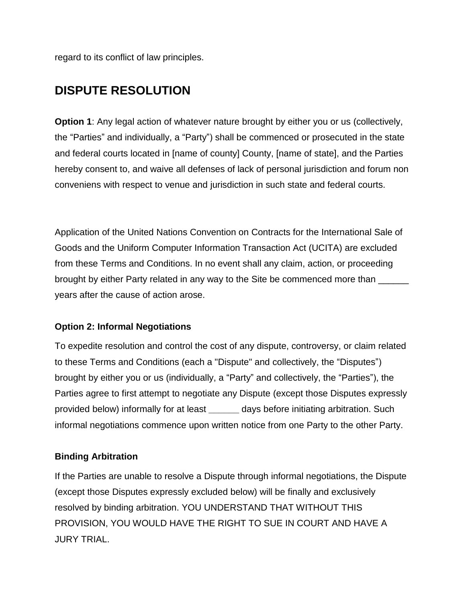regard to its conflict of law principles.

# **DISPUTE RESOLUTION**

**Option 1:** Any legal action of whatever nature brought by either you or us (collectively, the "Parties" and individually, a "Party") shall be commenced or prosecuted in the state and federal courts located in [name of county] County, [name of state], and the Parties hereby consent to, and waive all defenses of lack of personal jurisdiction and forum non conveniens with respect to venue and jurisdiction in such state and federal courts.

Application of the United Nations Convention on Contracts for the International Sale of Goods and the Uniform Computer Information Transaction Act (UCITA) are excluded from these Terms and Conditions. In no event shall any claim, action, or proceeding brought by either Party related in any way to the Site be commenced more than \_\_\_\_\_\_ years after the cause of action arose.

### **Option 2: Informal Negotiations**

To expedite resolution and control the cost of any dispute, controversy, or claim related to these Terms and Conditions (each a "Dispute" and collectively, the "Disputes") brought by either you or us (individually, a "Party" and collectively, the "Parties"), the Parties agree to first attempt to negotiate any Dispute (except those Disputes expressly provided below) informally for at least **\_\_\_\_\_\_** days before initiating arbitration. Such informal negotiations commence upon written notice from one Party to the other Party.

### **Binding Arbitration**

If the Parties are unable to resolve a Dispute through informal negotiations, the Dispute (except those Disputes expressly excluded below) will be finally and exclusively resolved by binding arbitration. YOU UNDERSTAND THAT WITHOUT THIS PROVISION, YOU WOULD HAVE THE RIGHT TO SUE IN COURT AND HAVE A JURY TRIAL.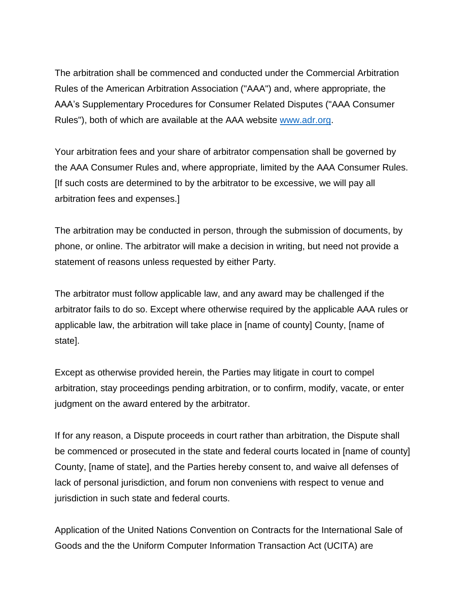The arbitration shall be commenced and conducted under the Commercial Arbitration Rules of the American Arbitration Association ("AAA") and, where appropriate, the AAA's Supplementary Procedures for Consumer Related Disputes ("AAA Consumer Rules"), both of which are available at the AAA website [www.adr.org.](http://www.adr.org/)

Your arbitration fees and your share of arbitrator compensation shall be governed by the AAA Consumer Rules and, where appropriate, limited by the AAA Consumer Rules. [If such costs are determined to by the arbitrator to be excessive, we will pay all arbitration fees and expenses.]

The arbitration may be conducted in person, through the submission of documents, by phone, or online. The arbitrator will make a decision in writing, but need not provide a statement of reasons unless requested by either Party.

The arbitrator must follow applicable law, and any award may be challenged if the arbitrator fails to do so. Except where otherwise required by the applicable AAA rules or applicable law, the arbitration will take place in [name of county] County, [name of state].

Except as otherwise provided herein, the Parties may litigate in court to compel arbitration, stay proceedings pending arbitration, or to confirm, modify, vacate, or enter judgment on the award entered by the arbitrator.

If for any reason, a Dispute proceeds in court rather than arbitration, the Dispute shall be commenced or prosecuted in the state and federal courts located in [name of county] County, [name of state], and the Parties hereby consent to, and waive all defenses of lack of personal jurisdiction, and forum non conveniens with respect to venue and jurisdiction in such state and federal courts.

Application of the United Nations Convention on Contracts for the International Sale of Goods and the the Uniform Computer Information Transaction Act (UCITA) are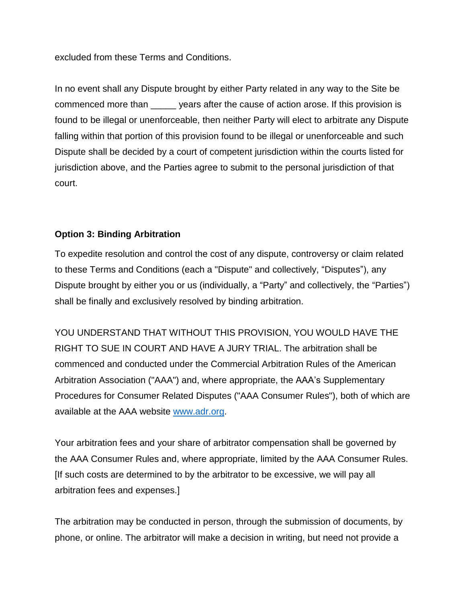excluded from these Terms and Conditions.

In no event shall any Dispute brought by either Party related in any way to the Site be commenced more than \_\_\_\_\_ years after the cause of action arose. If this provision is found to be illegal or unenforceable, then neither Party will elect to arbitrate any Dispute falling within that portion of this provision found to be illegal or unenforceable and such Dispute shall be decided by a court of competent jurisdiction within the courts listed for jurisdiction above, and the Parties agree to submit to the personal jurisdiction of that court.

### **Option 3: Binding Arbitration**

To expedite resolution and control the cost of any dispute, controversy or claim related to these Terms and Conditions (each a "Dispute" and collectively, "Disputes"), any Dispute brought by either you or us (individually, a "Party" and collectively, the "Parties") shall be finally and exclusively resolved by binding arbitration.

YOU UNDERSTAND THAT WITHOUT THIS PROVISION, YOU WOULD HAVE THE RIGHT TO SUE IN COURT AND HAVE A JURY TRIAL. The arbitration shall be commenced and conducted under the Commercial Arbitration Rules of the American Arbitration Association ("AAA") and, where appropriate, the AAA's Supplementary Procedures for Consumer Related Disputes ("AAA Consumer Rules"), both of which are available at the AAA website [www.adr.org.](http://www.adr.org/)

Your arbitration fees and your share of arbitrator compensation shall be governed by the AAA Consumer Rules and, where appropriate, limited by the AAA Consumer Rules. [If such costs are determined to by the arbitrator to be excessive, we will pay all arbitration fees and expenses.]

The arbitration may be conducted in person, through the submission of documents, by phone, or online. The arbitrator will make a decision in writing, but need not provide a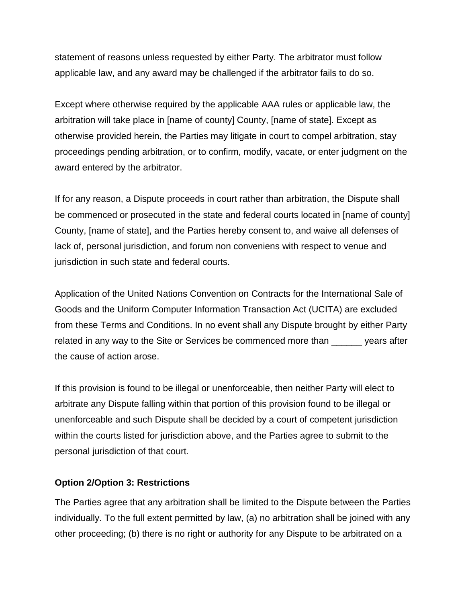statement of reasons unless requested by either Party. The arbitrator must follow applicable law, and any award may be challenged if the arbitrator fails to do so.

Except where otherwise required by the applicable AAA rules or applicable law, the arbitration will take place in [name of county] County, [name of state]. Except as otherwise provided herein, the Parties may litigate in court to compel arbitration, stay proceedings pending arbitration, or to confirm, modify, vacate, or enter judgment on the award entered by the arbitrator.

If for any reason, a Dispute proceeds in court rather than arbitration, the Dispute shall be commenced or prosecuted in the state and federal courts located in [name of county] County, [name of state], and the Parties hereby consent to, and waive all defenses of lack of, personal jurisdiction, and forum non conveniens with respect to venue and jurisdiction in such state and federal courts.

Application of the United Nations Convention on Contracts for the International Sale of Goods and the Uniform Computer Information Transaction Act (UCITA) are excluded from these Terms and Conditions. In no event shall any Dispute brought by either Party related in any way to the Site or Services be commenced more than \_\_\_\_\_\_ years after the cause of action arose.

If this provision is found to be illegal or unenforceable, then neither Party will elect to arbitrate any Dispute falling within that portion of this provision found to be illegal or unenforceable and such Dispute shall be decided by a court of competent jurisdiction within the courts listed for jurisdiction above, and the Parties agree to submit to the personal jurisdiction of that court.

#### **Option 2/Option 3: Restrictions**

The Parties agree that any arbitration shall be limited to the Dispute between the Parties individually. To the full extent permitted by law, (a) no arbitration shall be joined with any other proceeding; (b) there is no right or authority for any Dispute to be arbitrated on a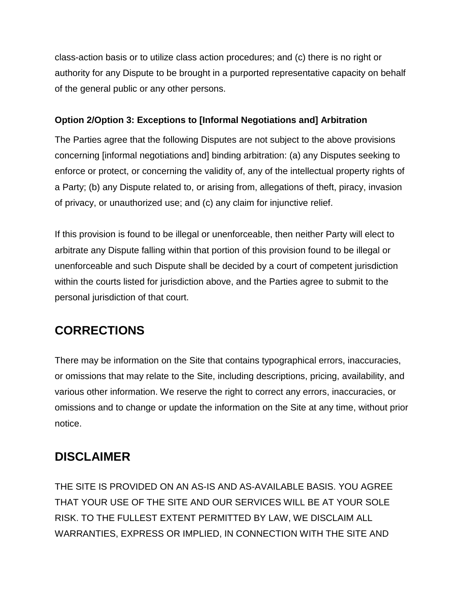class-action basis or to utilize class action procedures; and (c) there is no right or authority for any Dispute to be brought in a purported representative capacity on behalf of the general public or any other persons.

### **Option 2/Option 3: Exceptions to [Informal Negotiations and] Arbitration**

The Parties agree that the following Disputes are not subject to the above provisions concerning [informal negotiations and] binding arbitration: (a) any Disputes seeking to enforce or protect, or concerning the validity of, any of the intellectual property rights of a Party; (b) any Dispute related to, or arising from, allegations of theft, piracy, invasion of privacy, or unauthorized use; and (c) any claim for injunctive relief.

If this provision is found to be illegal or unenforceable, then neither Party will elect to arbitrate any Dispute falling within that portion of this provision found to be illegal or unenforceable and such Dispute shall be decided by a court of competent jurisdiction within the courts listed for jurisdiction above, and the Parties agree to submit to the personal jurisdiction of that court.

# **CORRECTIONS**

There may be information on the Site that contains typographical errors, inaccuracies, or omissions that may relate to the Site, including descriptions, pricing, availability, and various other information. We reserve the right to correct any errors, inaccuracies, or omissions and to change or update the information on the Site at any time, without prior notice.

# **DISCLAIMER**

THE SITE IS PROVIDED ON AN AS-IS AND AS-AVAILABLE BASIS. YOU AGREE THAT YOUR USE OF THE SITE AND OUR SERVICES WILL BE AT YOUR SOLE RISK. TO THE FULLEST EXTENT PERMITTED BY LAW, WE DISCLAIM ALL WARRANTIES, EXPRESS OR IMPLIED, IN CONNECTION WITH THE SITE AND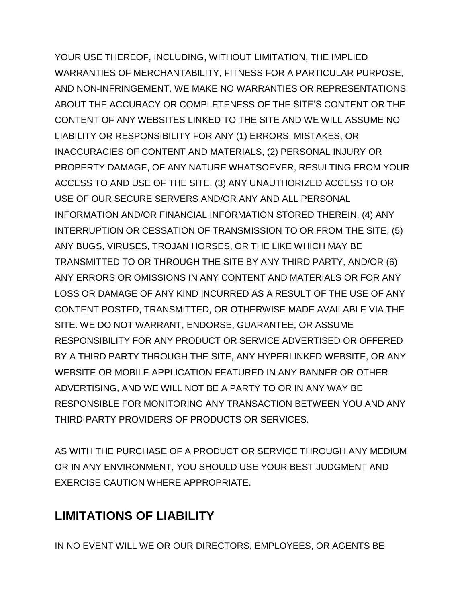YOUR USE THEREOF, INCLUDING, WITHOUT LIMITATION, THE IMPLIED WARRANTIES OF MERCHANTABILITY, FITNESS FOR A PARTICULAR PURPOSE, AND NON-INFRINGEMENT. WE MAKE NO WARRANTIES OR REPRESENTATIONS ABOUT THE ACCURACY OR COMPLETENESS OF THE SITE'S CONTENT OR THE CONTENT OF ANY WEBSITES LINKED TO THE SITE AND WE WILL ASSUME NO LIABILITY OR RESPONSIBILITY FOR ANY (1) ERRORS, MISTAKES, OR INACCURACIES OF CONTENT AND MATERIALS, (2) PERSONAL INJURY OR PROPERTY DAMAGE, OF ANY NATURE WHATSOEVER, RESULTING FROM YOUR ACCESS TO AND USE OF THE SITE, (3) ANY UNAUTHORIZED ACCESS TO OR USE OF OUR SECURE SERVERS AND/OR ANY AND ALL PERSONAL INFORMATION AND/OR FINANCIAL INFORMATION STORED THEREIN, (4) ANY INTERRUPTION OR CESSATION OF TRANSMISSION TO OR FROM THE SITE, (5) ANY BUGS, VIRUSES, TROJAN HORSES, OR THE LIKE WHICH MAY BE TRANSMITTED TO OR THROUGH THE SITE BY ANY THIRD PARTY, AND/OR (6) ANY ERRORS OR OMISSIONS IN ANY CONTENT AND MATERIALS OR FOR ANY LOSS OR DAMAGE OF ANY KIND INCURRED AS A RESULT OF THE USE OF ANY CONTENT POSTED, TRANSMITTED, OR OTHERWISE MADE AVAILABLE VIA THE SITE. WE DO NOT WARRANT, ENDORSE, GUARANTEE, OR ASSUME RESPONSIBILITY FOR ANY PRODUCT OR SERVICE ADVERTISED OR OFFERED BY A THIRD PARTY THROUGH THE SITE, ANY HYPERLINKED WEBSITE, OR ANY WEBSITE OR MOBILE APPLICATION FEATURED IN ANY BANNER OR OTHER ADVERTISING, AND WE WILL NOT BE A PARTY TO OR IN ANY WAY BE RESPONSIBLE FOR MONITORING ANY TRANSACTION BETWEEN YOU AND ANY THIRD-PARTY PROVIDERS OF PRODUCTS OR SERVICES.

AS WITH THE PURCHASE OF A PRODUCT OR SERVICE THROUGH ANY MEDIUM OR IN ANY ENVIRONMENT, YOU SHOULD USE YOUR BEST JUDGMENT AND EXERCISE CAUTION WHERE APPROPRIATE.

# **LIMITATIONS OF LIABILITY**

IN NO EVENT WILL WE OR OUR DIRECTORS, EMPLOYEES, OR AGENTS BE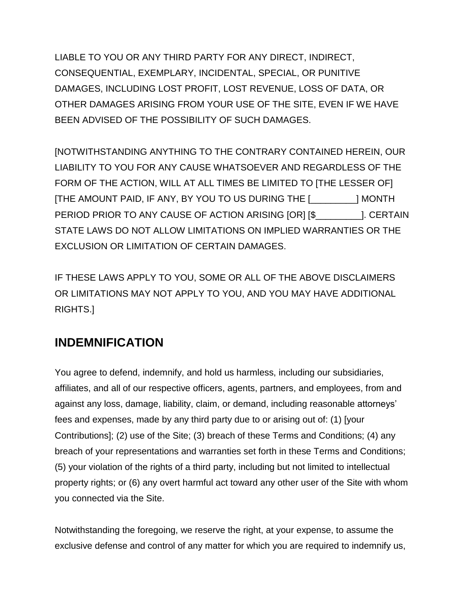LIABLE TO YOU OR ANY THIRD PARTY FOR ANY DIRECT, INDIRECT, CONSEQUENTIAL, EXEMPLARY, INCIDENTAL, SPECIAL, OR PUNITIVE DAMAGES, INCLUDING LOST PROFIT, LOST REVENUE, LOSS OF DATA, OR OTHER DAMAGES ARISING FROM YOUR USE OF THE SITE, EVEN IF WE HAVE BEEN ADVISED OF THE POSSIBILITY OF SUCH DAMAGES.

[NOTWITHSTANDING ANYTHING TO THE CONTRARY CONTAINED HEREIN, OUR LIABILITY TO YOU FOR ANY CAUSE WHATSOEVER AND REGARDLESS OF THE FORM OF THE ACTION, WILL AT ALL TIMES BE LIMITED TO [THE LESSER OF] [THE AMOUNT PAID, IF ANY, BY YOU TO US DURING THE [\_\_\_\_\_\_\_\_\_] MONTH PERIOD PRIOR TO ANY CAUSE OF ACTION ARISING [OR] [\$\_\_\_\_\_\_\_\_\_]. CERTAIN STATE LAWS DO NOT ALLOW LIMITATIONS ON IMPLIED WARRANTIES OR THE EXCLUSION OR LIMITATION OF CERTAIN DAMAGES.

IF THESE LAWS APPLY TO YOU, SOME OR ALL OF THE ABOVE DISCLAIMERS OR LIMITATIONS MAY NOT APPLY TO YOU, AND YOU MAY HAVE ADDITIONAL RIGHTS.]

# **INDEMNIFICATION**

You agree to defend, indemnify, and hold us harmless, including our subsidiaries, affiliates, and all of our respective officers, agents, partners, and employees, from and against any loss, damage, liability, claim, or demand, including reasonable attorneys' fees and expenses, made by any third party due to or arising out of: (1) [your Contributions]; (2) use of the Site; (3) breach of these Terms and Conditions; (4) any breach of your representations and warranties set forth in these Terms and Conditions; (5) your violation of the rights of a third party, including but not limited to intellectual property rights; or (6) any overt harmful act toward any other user of the Site with whom you connected via the Site.

Notwithstanding the foregoing, we reserve the right, at your expense, to assume the exclusive defense and control of any matter for which you are required to indemnify us,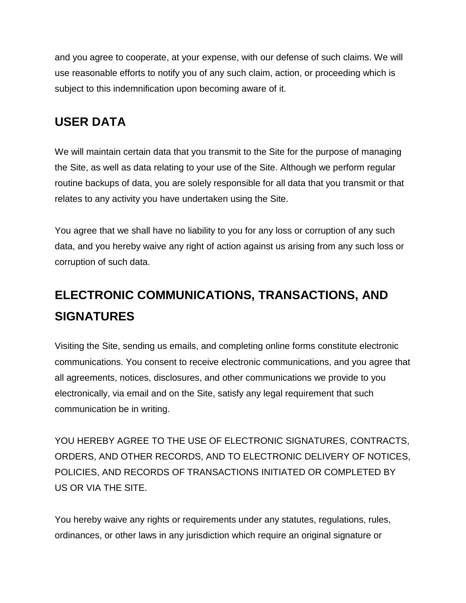and you agree to cooperate, at your expense, with our defense of such claims. We will use reasonable efforts to notify you of any such claim, action, or proceeding which is subject to this indemnification upon becoming aware of it.

# **USER DATA**

We will maintain certain data that you transmit to the Site for the purpose of managing the Site, as well as data relating to your use of the Site. Although we perform regular routine backups of data, you are solely responsible for all data that you transmit or that relates to any activity you have undertaken using the Site.

You agree that we shall have no liability to you for any loss or corruption of any such data, and you hereby waive any right of action against us arising from any such loss or corruption of such data.

# **ELECTRONIC COMMUNICATIONS, TRANSACTIONS, AND SIGNATURES**

Visiting the Site, sending us emails, and completing online forms constitute electronic communications. You consent to receive electronic communications, and you agree that all agreements, notices, disclosures, and other communications we provide to you electronically, via email and on the Site, satisfy any legal requirement that such communication be in writing.

YOU HEREBY AGREE TO THE USE OF ELECTRONIC SIGNATURES, CONTRACTS, ORDERS, AND OTHER RECORDS, AND TO ELECTRONIC DELIVERY OF NOTICES, POLICIES, AND RECORDS OF TRANSACTIONS INITIATED OR COMPLETED BY US OR VIA THE SITE.

You hereby waive any rights or requirements under any statutes, regulations, rules, ordinances, or other laws in any jurisdiction which require an original signature or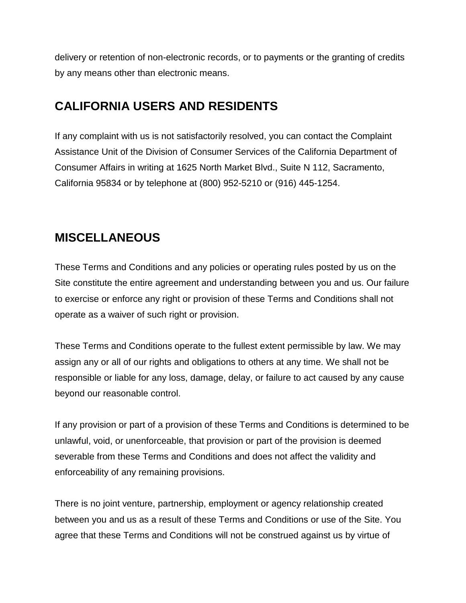delivery or retention of non-electronic records, or to payments or the granting of credits by any means other than electronic means.

# **CALIFORNIA USERS AND RESIDENTS**

If any complaint with us is not satisfactorily resolved, you can contact the Complaint Assistance Unit of the Division of Consumer Services of the California Department of Consumer Affairs in writing at 1625 North Market Blvd., Suite N 112, Sacramento, California 95834 or by telephone at (800) 952-5210 or (916) 445-1254.

# **MISCELLANEOUS**

These Terms and Conditions and any policies or operating rules posted by us on the Site constitute the entire agreement and understanding between you and us. Our failure to exercise or enforce any right or provision of these Terms and Conditions shall not operate as a waiver of such right or provision.

These Terms and Conditions operate to the fullest extent permissible by law. We may assign any or all of our rights and obligations to others at any time. We shall not be responsible or liable for any loss, damage, delay, or failure to act caused by any cause beyond our reasonable control.

If any provision or part of a provision of these Terms and Conditions is determined to be unlawful, void, or unenforceable, that provision or part of the provision is deemed severable from these Terms and Conditions and does not affect the validity and enforceability of any remaining provisions.

There is no joint venture, partnership, employment or agency relationship created between you and us as a result of these Terms and Conditions or use of the Site. You agree that these Terms and Conditions will not be construed against us by virtue of